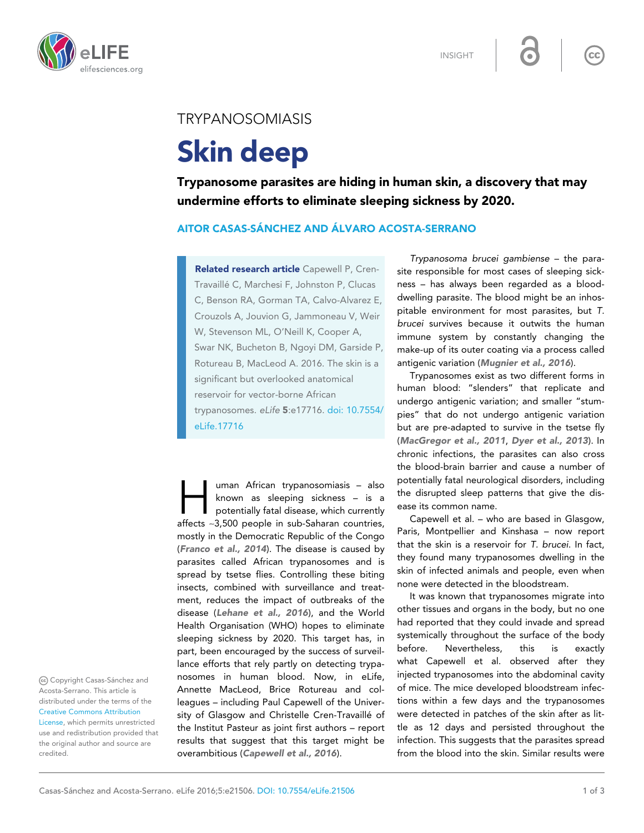



## TRYPANOSOMIASIS

# Skin deep

Trypanosome parasites are hiding in human skin, a discovery that may undermine efforts to eliminate sleeping sickness by 2020.

## AITOR CASAS-SÁNCHEZ AND ÁLVARO ACOSTA-SERRANO

Related research article Capewell P, Cren-Travaillé C, Marchesi F, Johnston P, Clucas C, Benson RA, Gorman TA, Calvo-Alvarez E, Crouzols A, Jouvion G, Jammoneau V, Weir W, Stevenson ML, O'Neill K, Cooper A, Swar NK, Bucheton B, Ngoyi DM, Garside P, Rotureau B, MacLeod A. 2016. The skin is a significant but overlooked anatomical reservoir for vector-borne African trypanosomes. eLife 5:e17716. [doi: 10.7554/](http://dx.doi.org/10.7554/eLife.17716) [eLife.17716](http://dx.doi.org/10.7554/eLife.17716)

I uman African trypanosomiasis – also<br>
known as sleeping sickness – is a<br>
potentially fatal disease, which currently<br>
affects ~3,500 people in sub-Saharan countries, uman African trypanosomiasis – also known as sleeping sickness – is a potentially fatal disease, which currently mostly in the Democratic Republic of the Congo ([Franco et al., 2014](#page-2-0)). The disease is caused by parasites called African trypanosomes and is spread by tsetse flies. Controlling these biting insects, combined with surveillance and treatment, reduces the impact of outbreaks of the disease ([Lehane et al., 2016](#page-2-0)), and the World Health Organisation (WHO) hopes to eliminate sleeping sickness by 2020. This target has, in part, been encouraged by the success of surveillance efforts that rely partly on detecting trypanosomes in human blood. Now, in eLife, Annette MacLeod, Brice Rotureau and colleagues – including Paul Capewell of the University of Glasgow and Christelle Cren-Travaillé of the Institut Pasteur as joint first authors – report results that suggest that this target might be overambitious ([Capewell et al., 2016](#page-2-0)).

Trypanosoma brucei gambiense – the parasite responsible for most cases of sleeping sickness – has always been regarded as a blooddwelling parasite. The blood might be an inhospitable environment for most parasites, but T. brucei survives because it outwits the human immune system by constantly changing the make-up of its outer coating via a process called antigenic variation ([Mugnier et al., 2016](#page-2-0)).

 $cc$ 

Trypanosomes exist as two different forms in human blood: "slenders" that replicate and undergo antigenic variation; and smaller "stumpies" that do not undergo antigenic variation but are pre-adapted to survive in the tsetse fly ([MacGregor et al., 2011](#page-2-0), [Dyer et al., 2013](#page-2-0)). In chronic infections, the parasites can also cross the blood-brain barrier and cause a number of potentially fatal neurological disorders, including the disrupted sleep patterns that give the disease its common name.

Capewell et al. – who are based in Glasgow, Paris, Montpellier and Kinshasa – now report that the skin is a reservoir for T. brucei. In fact, they found many trypanosomes dwelling in the skin of infected animals and people, even when none were detected in the bloodstream.

It was known that trypanosomes migrate into other tissues and organs in the body, but no one had reported that they could invade and spread systemically throughout the surface of the body before. Nevertheless, this is exactly what Capewell et al. observed after they injected trypanosomes into the abdominal cavity of mice. The mice developed bloodstream infections within a few days and the trypanosomes were detected in patches of the skin after as little as 12 days and persisted throughout the infection. This suggests that the parasites spread from the blood into the skin. Similar results were

(cc) Copyright Casas-Sánchez and Acosta-Serrano. This article is distributed under the terms of the [Creative Commons Attribution](http://creativecommons.org/licenses/by/4.0/)

[License](http://creativecommons.org/licenses/by/4.0/), which permits unrestricted use and redistribution provided that the original author and source are credited.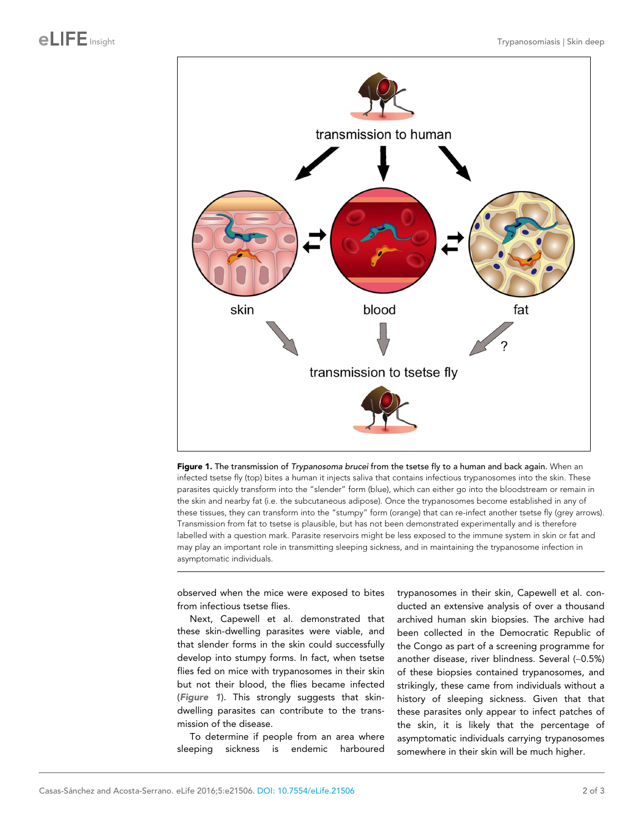

Figure 1. The transmission of Trypanosoma brucei from the tsetse fly to a human and back again. When an infected tsetse fly (top) bites a human it injects saliva that contains infectious trypanosomes into the skin. These parasites quickly transform into the "slender" form (blue), which can either go into the bloodstream or remain in the skin and nearby fat (i.e. the subcutaneous adipose). Once the trypanosomes become established in any of these tissues, they can transform into the "stumpy" form (orange) that can re-infect another tsetse fly (grey arrows). Transmission from fat to tsetse is plausible, but has not been demonstrated experimentally and is therefore labelled with a question mark. Parasite reservoirs might be less exposed to the immune system in skin or fat and may play an important role in transmitting sleeping sickness, and in maintaining the trypanosome infection in asymptomatic individuals.

observed when the mice were exposed to bites from infectious tsetse flies.

Next, Capewell et al. demonstrated that these skin-dwelling parasites were viable, and that slender forms in the skin could successfully develop into stumpy forms. In fact, when tsetse flies fed on mice with trypanosomes in their skin but not their blood, the flies became infected (Figure 1). This strongly suggests that skindwelling parasites can contribute to the transmission of the disease.

To determine if people from an area where sleeping sickness is endemic harboured

trypanosomes in their skin, Capewell et al. conducted an extensive analysis of over a thousand archived human skin biopsies. The archive had been collected in the Democratic Republic of the Congo as part of a screening programme for another disease, river blindness. Several (~0.5%) of these biopsies contained trypanosomes, and strikingly, these came from individuals without a history of sleeping sickness. Given that that these parasites only appear to infect patches of the skin, it is likely that the percentage of asymptomatic individuals carrying trypanosomes somewhere in their skin will be much higher.